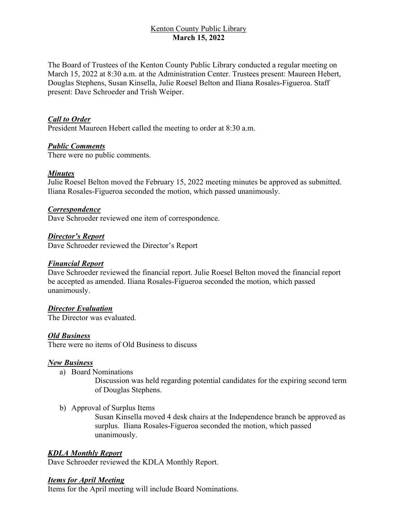# Kenton County Public Library **March 15, 2022**

The Board of Trustees of the Kenton County Public Library conducted a regular meeting on March 15, 2022 at 8:30 a.m. at the Administration Center. Trustees present: Maureen Hebert, Douglas Stephens, Susan Kinsella, Julie Roesel Belton and Iliana Rosales-Figueroa. Staff present: Dave Schroeder and Trish Weiper.

## *Call to Order*

President Maureen Hebert called the meeting to order at 8:30 a.m.

### *Public Comments*

There were no public comments.

### *Minutes*

Julie Roesel Belton moved the February 15, 2022 meeting minutes be approved as submitted. Iliana Rosales-Figueroa seconded the motion, which passed unanimously.

#### *Correspondence*

Dave Schroeder reviewed one item of correspondence.

#### *Director's Report*

Dave Schroeder reviewed the Director's Report

#### *Financial Report*

Dave Schroeder reviewed the financial report. Julie Roesel Belton moved the financial report be accepted as amended. Iliana Rosales-Figueroa seconded the motion, which passed unanimously.

#### *Director Evaluation*

The Director was evaluated.

#### *Old Business*

There were no items of Old Business to discuss

#### *New Business*

a) Board Nominations

Discussion was held regarding potential candidates for the expiring second term of Douglas Stephens.

b) Approval of Surplus Items

Susan Kinsella moved 4 desk chairs at the Independence branch be approved as surplus. Iliana Rosales-Figueroa seconded the motion, which passed unanimously.

#### *KDLA Monthly Report*

Dave Schroeder reviewed the KDLA Monthly Report.

#### *Items for April Meeting*

Items for the April meeting will include Board Nominations.